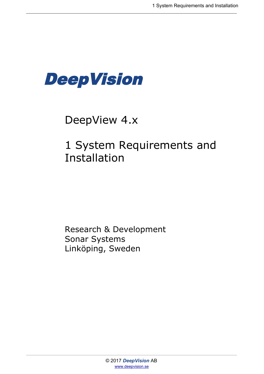

# DeepView 4.x

# 1 System Requirements and Installation

Research & Development Sonar Systems Linköping, Sweden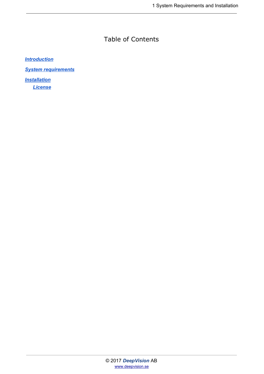#### Table of Contents

*[Introduction](#page-2-0)*

*[System requirements](#page-2-1)*

*[Installation](#page-3-0) [License](#page-4-0)*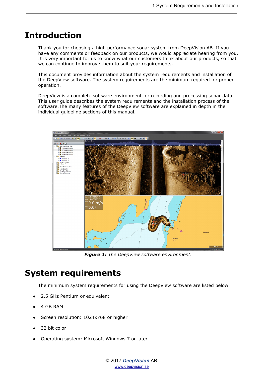#### <span id="page-2-0"></span>**Introduction**

Thank you for choosing a high performance sonar system from DeepVision AB. If you have any comments or feedback on our products, we would appreciate hearing from you. It is very important for us to know what our customers think about our products, so that we can continue to improve them to suit your requirements.

This document provides information about the system requirements and installation of the DeepView software. The system requirements are the minimum required for proper operation.

DeepView is a complete software environment for recording and processing sonar data. This user guide describes the system requirements and the installation process of the software.The many features of the DeepView software are explained in depth in the individual guideline sections of this manual.



*Figure 1: The DeepView software environment.*

### <span id="page-2-1"></span>**System requirements**

The minimum system requirements for using the DeepView software are listed below.

- 2.5 GHz Pentium or equivalent
- 4 GB RAM
- Screen resolution: 1024x768 or higher
- 32 bit color
- Operating system: Microsoft Windows 7 or later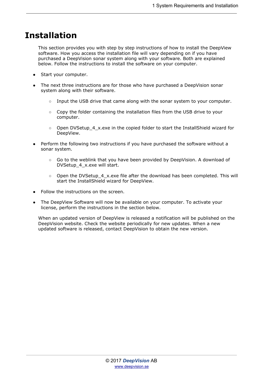### <span id="page-3-0"></span>**Installation**

This section provides you with step by step instructions of how to install the DeepView software. How you access the installation file will vary depending on if you have purchased a DeepVision sonar system along with your software. Both are explained below. Follow the instructions to install the software on your computer.

- Start your computer.
- The next three instructions are for those who have purchased a DeepVision sonar system along with their software.
	- $\circ$  Input the USB drive that came along with the sonar system to your computer.
	- Copy the folder containing the installation files from the USB drive to your computer.
	- Open DVSetup 4 x.exe in the copied folder to start the InstallShield wizard for DeepView.
- Perform the following two instructions if you have purchased the software without a sonar system.
	- Go to the weblink that you have been provided by DeepVision. A download of DVSetup\_4\_x.exe will start.
	- Open the DVSetup\_4\_x.exe file after the download has been completed. This will start the InstallShield wizard for DeepView.
- Follow the instructions on the screen.
- The DeepView Software will now be available on your computer. To activate your license, perform the instructions in the section below.

When an updated version of DeepView is released a notification will be published on the DeepVision website. Check the website periodically for new updates. When a new updated software is released, contact DeepVision to obtain the new version.